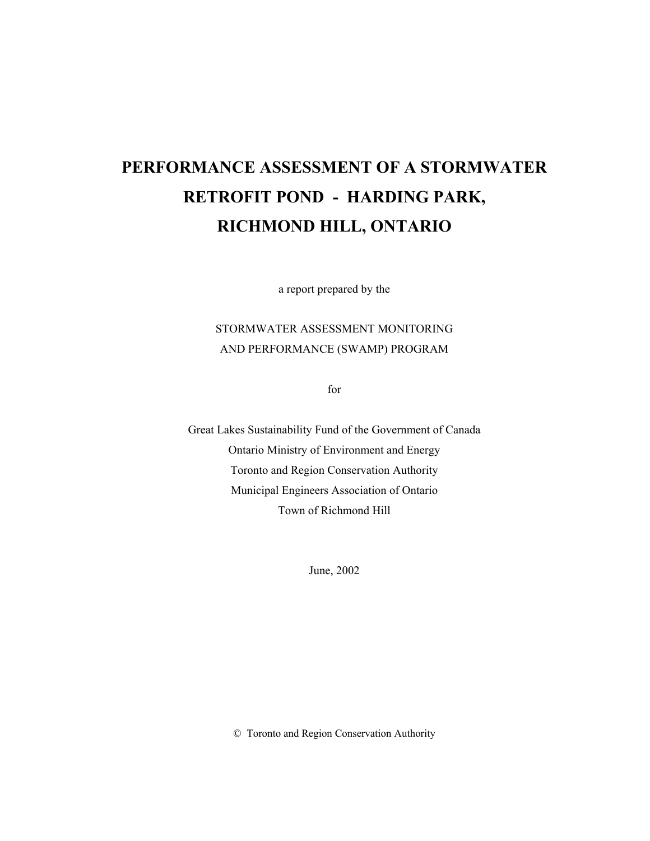# **PERFORMANCE ASSESSMENT OF A STORMWATER RETROFIT POND - HARDING PARK, RICHMOND HILL, ONTARIO**

a report prepared by the

### STORMWATER ASSESSMENT MONITORING AND PERFORMANCE (SWAMP) PROGRAM

for

Great Lakes Sustainability Fund of the Government of Canada Ontario Ministry of Environment and Energy Toronto and Region Conservation Authority Municipal Engineers Association of Ontario Town of Richmond Hill

June, 2002

© Toronto and Region Conservation Authority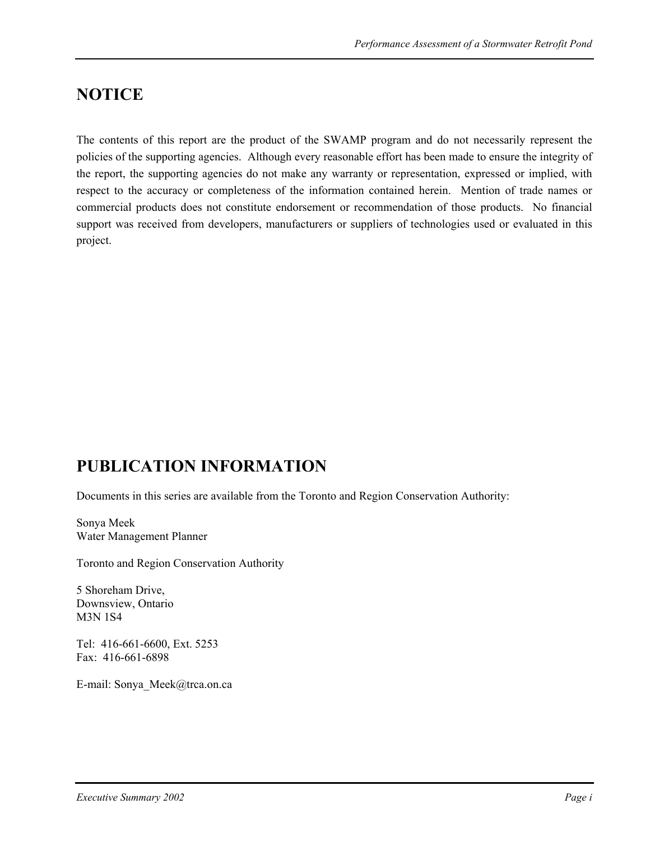## **NOTICE**

The contents of this report are the product of the SWAMP program and do not necessarily represent the policies of the supporting agencies. Although every reasonable effort has been made to ensure the integrity of the report, the supporting agencies do not make any warranty or representation, expressed or implied, with respect to the accuracy or completeness of the information contained herein. Mention of trade names or commercial products does not constitute endorsement or recommendation of those products. No financial support was received from developers, manufacturers or suppliers of technologies used or evaluated in this project.

## **PUBLICATION INFORMATION**

Documents in this series are available from the Toronto and Region Conservation Authority:

Sonya Meek Water Management Planner

Toronto and Region Conservation Authority

5 Shoreham Drive, Downsview, Ontario M3N 1S4

Tel: 416-661-6600, Ext. 5253 Fax: 416-661-6898

E-mail: Sonya\_Meek@trca.on.ca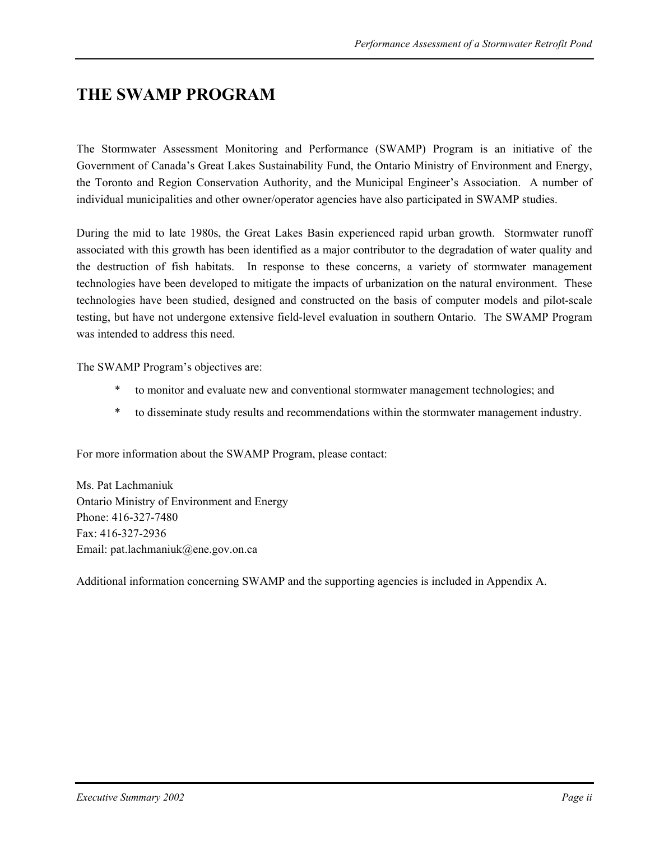### **THE SWAMP PROGRAM**

The Stormwater Assessment Monitoring and Performance (SWAMP) Program is an initiative of the Government of Canada's Great Lakes Sustainability Fund, the Ontario Ministry of Environment and Energy, the Toronto and Region Conservation Authority, and the Municipal Engineer's Association. A number of individual municipalities and other owner/operator agencies have also participated in SWAMP studies.

During the mid to late 1980s, the Great Lakes Basin experienced rapid urban growth. Stormwater runoff associated with this growth has been identified as a major contributor to the degradation of water quality and the destruction of fish habitats. In response to these concerns, a variety of stormwater management technologies have been developed to mitigate the impacts of urbanization on the natural environment. These technologies have been studied, designed and constructed on the basis of computer models and pilot-scale testing, but have not undergone extensive field-level evaluation in southern Ontario. The SWAMP Program was intended to address this need.

The SWAMP Program's objectives are:

- \* to monitor and evaluate new and conventional stormwater management technologies; and
- \* to disseminate study results and recommendations within the stormwater management industry.

For more information about the SWAMP Program, please contact:

Ms. Pat Lachmaniuk Ontario Ministry of Environment and Energy Phone: 416-327-7480 Fax: 416-327-2936 Email: pat.lachmaniuk@ene.gov.on.ca

Additional information concerning SWAMP and the supporting agencies is included in Appendix A.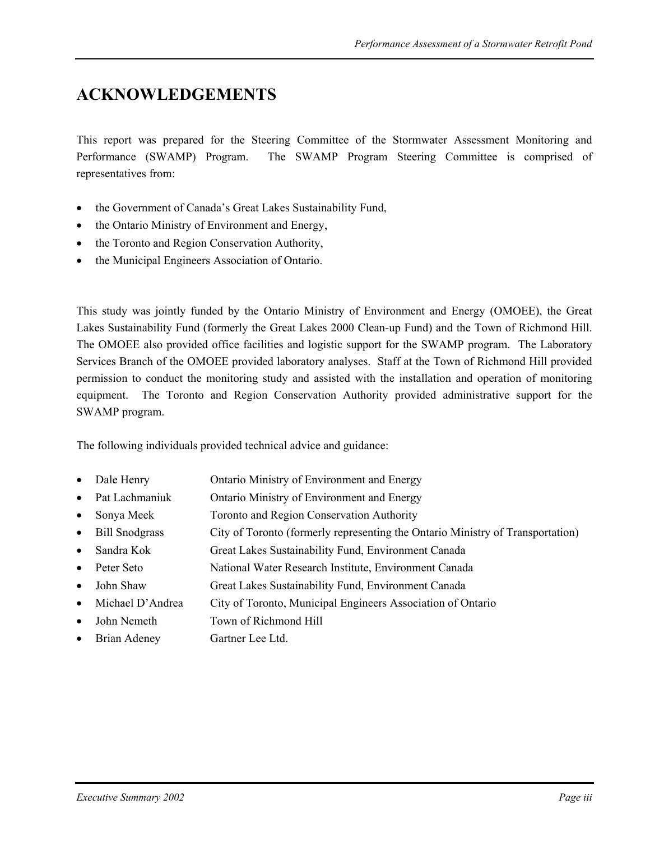## **ACKNOWLEDGEMENTS**

This report was prepared for the Steering Committee of the Stormwater Assessment Monitoring and Performance (SWAMP) Program. The SWAMP Program Steering Committee is comprised of representatives from:

- the Government of Canada's Great Lakes Sustainability Fund,
- the Ontario Ministry of Environment and Energy,
- the Toronto and Region Conservation Authority,
- the Municipal Engineers Association of Ontario.

This study was jointly funded by the Ontario Ministry of Environment and Energy (OMOEE), the Great Lakes Sustainability Fund (formerly the Great Lakes 2000 Clean-up Fund) and the Town of Richmond Hill. The OMOEE also provided office facilities and logistic support for the SWAMP program. The Laboratory Services Branch of the OMOEE provided laboratory analyses. Staff at the Town of Richmond Hill provided permission to conduct the monitoring study and assisted with the installation and operation of monitoring equipment. The Toronto and Region Conservation Authority provided administrative support for the SWAMP program.

The following individuals provided technical advice and guidance:

- Dale Henry **Ontario Ministry of Environment and Energy**
- Pat Lachmaniuk Ontario Ministry of Environment and Energy
- Sonya Meek Toronto and Region Conservation Authority
- Bill Snodgrass City of Toronto (formerly representing the Ontario Ministry of Transportation)
- Sandra Kok Great Lakes Sustainability Fund, Environment Canada
- Peter Seto National Water Research Institute, Environment Canada
- John Shaw Great Lakes Sustainability Fund, Environment Canada
- Michael D'Andrea City of Toronto, Municipal Engineers Association of Ontario
- John Nemeth Town of Richmond Hill
- Brian Adeney Gartner Lee Ltd.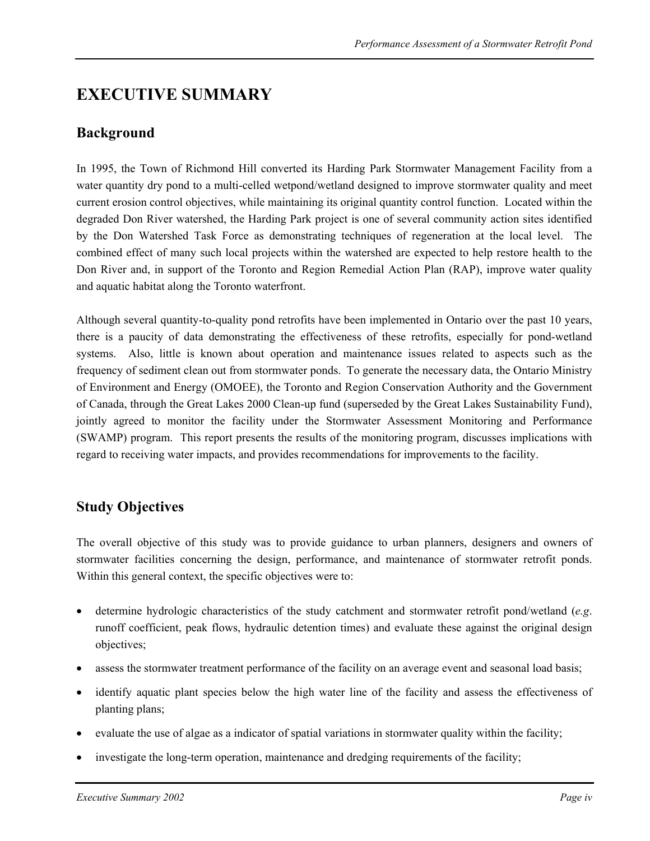## **EXECUTIVE SUMMARY**

### **Background**

In 1995, the Town of Richmond Hill converted its Harding Park Stormwater Management Facility from a water quantity dry pond to a multi-celled wetpond/wetland designed to improve stormwater quality and meet current erosion control objectives, while maintaining its original quantity control function. Located within the degraded Don River watershed, the Harding Park project is one of several community action sites identified by the Don Watershed Task Force as demonstrating techniques of regeneration at the local level. The combined effect of many such local projects within the watershed are expected to help restore health to the Don River and, in support of the Toronto and Region Remedial Action Plan (RAP), improve water quality and aquatic habitat along the Toronto waterfront.

Although several quantity-to-quality pond retrofits have been implemented in Ontario over the past 10 years, there is a paucity of data demonstrating the effectiveness of these retrofits, especially for pond-wetland systems. Also, little is known about operation and maintenance issues related to aspects such as the frequency of sediment clean out from stormwater ponds. To generate the necessary data, the Ontario Ministry of Environment and Energy (OMOEE), the Toronto and Region Conservation Authority and the Government of Canada, through the Great Lakes 2000 Clean-up fund (superseded by the Great Lakes Sustainability Fund), jointly agreed to monitor the facility under the Stormwater Assessment Monitoring and Performance (SWAMP) program. This report presents the results of the monitoring program, discusses implications with regard to receiving water impacts, and provides recommendations for improvements to the facility.

### **Study Objectives**

The overall objective of this study was to provide guidance to urban planners, designers and owners of stormwater facilities concerning the design, performance, and maintenance of stormwater retrofit ponds. Within this general context, the specific objectives were to:

- determine hydrologic characteristics of the study catchment and stormwater retrofit pond/wetland (*e.g*. runoff coefficient, peak flows, hydraulic detention times) and evaluate these against the original design objectives;
- assess the stormwater treatment performance of the facility on an average event and seasonal load basis;
- identify aquatic plant species below the high water line of the facility and assess the effectiveness of planting plans;
- evaluate the use of algae as a indicator of spatial variations in stormwater quality within the facility;
- investigate the long-term operation, maintenance and dredging requirements of the facility;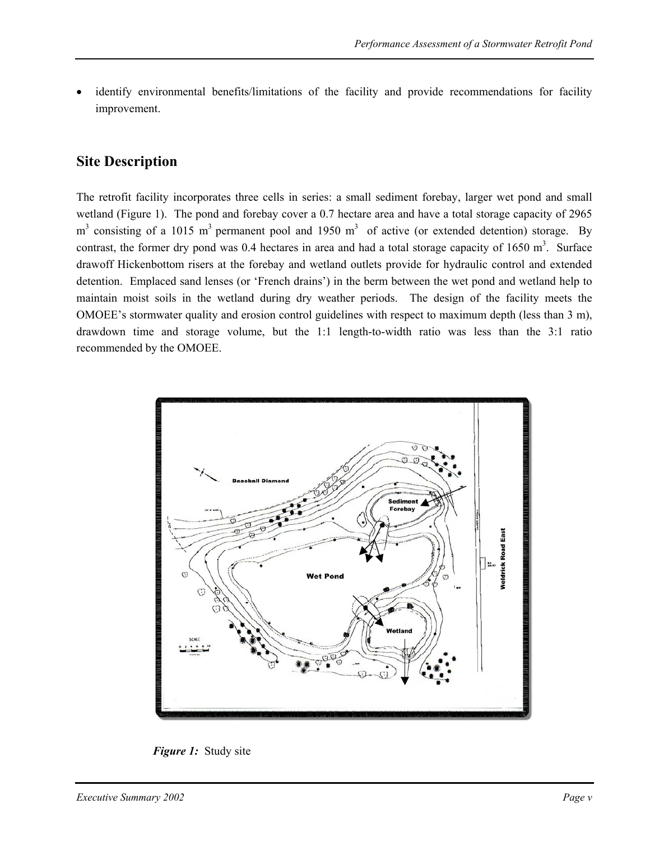identify environmental benefits/limitations of the facility and provide recommendations for facility improvement.

### **Site Description**

The retrofit facility incorporates three cells in series: a small sediment forebay, larger wet pond and small wetland (Figure 1). The pond and forebay cover a 0.7 hectare area and have a total storage capacity of 2965  $m<sup>3</sup>$  consisting of a 1015 m<sup>3</sup> permanent pool and 1950 m<sup>3</sup> of active (or extended detention) storage. By contrast, the former dry pond was 0.4 hectares in area and had a total storage capacity of  $1650 \text{ m}^3$ . Surface drawoff Hickenbottom risers at the forebay and wetland outlets provide for hydraulic control and extended detention. Emplaced sand lenses (or 'French drains') in the berm between the wet pond and wetland help to maintain moist soils in the wetland during dry weather periods. The design of the facility meets the OMOEE's stormwater quality and erosion control guidelines with respect to maximum depth (less than 3 m), drawdown time and storage volume, but the 1:1 length-to-width ratio was less than the 3:1 ratio recommended by the OMOEE.



*Figure 1:* Study site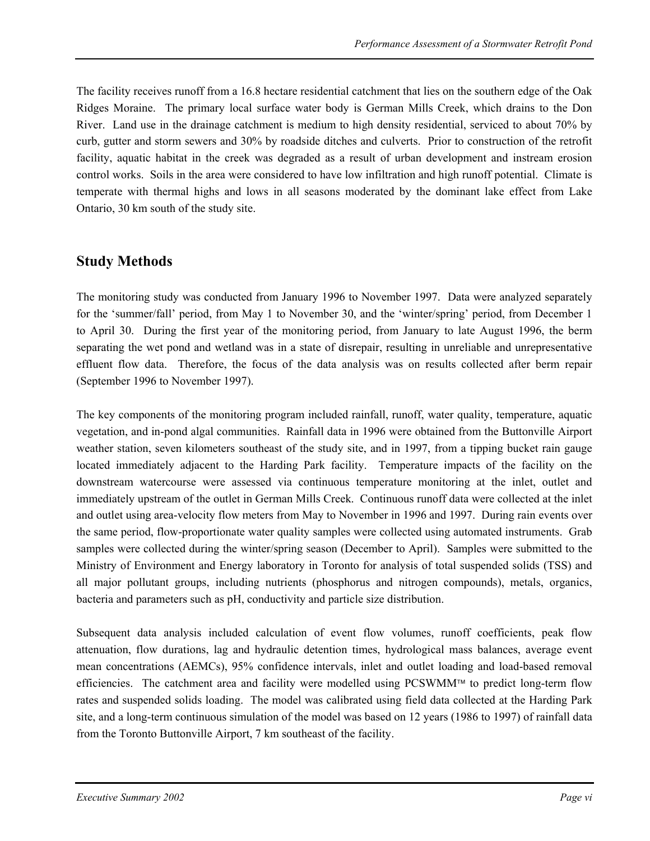The facility receives runoff from a 16.8 hectare residential catchment that lies on the southern edge of the Oak Ridges Moraine. The primary local surface water body is German Mills Creek, which drains to the Don River. Land use in the drainage catchment is medium to high density residential, serviced to about 70% by curb, gutter and storm sewers and 30% by roadside ditches and culverts. Prior to construction of the retrofit facility, aquatic habitat in the creek was degraded as a result of urban development and instream erosion control works. Soils in the area were considered to have low infiltration and high runoff potential. Climate is temperate with thermal highs and lows in all seasons moderated by the dominant lake effect from Lake Ontario, 30 km south of the study site.

### **Study Methods**

The monitoring study was conducted from January 1996 to November 1997. Data were analyzed separately for the 'summer/fall' period, from May 1 to November 30, and the 'winter/spring' period, from December 1 to April 30. During the first year of the monitoring period, from January to late August 1996, the berm separating the wet pond and wetland was in a state of disrepair, resulting in unreliable and unrepresentative effluent flow data. Therefore, the focus of the data analysis was on results collected after berm repair (September 1996 to November 1997).

The key components of the monitoring program included rainfall, runoff, water quality, temperature, aquatic vegetation, and in-pond algal communities. Rainfall data in 1996 were obtained from the Buttonville Airport weather station, seven kilometers southeast of the study site, and in 1997, from a tipping bucket rain gauge located immediately adjacent to the Harding Park facility. Temperature impacts of the facility on the downstream watercourse were assessed via continuous temperature monitoring at the inlet, outlet and immediately upstream of the outlet in German Mills Creek. Continuous runoff data were collected at the inlet and outlet using area-velocity flow meters from May to November in 1996 and 1997. During rain events over the same period, flow-proportionate water quality samples were collected using automated instruments. Grab samples were collected during the winter/spring season (December to April). Samples were submitted to the Ministry of Environment and Energy laboratory in Toronto for analysis of total suspended solids (TSS) and all major pollutant groups, including nutrients (phosphorus and nitrogen compounds), metals, organics, bacteria and parameters such as pH, conductivity and particle size distribution.

Subsequent data analysis included calculation of event flow volumes, runoff coefficients, peak flow attenuation, flow durations, lag and hydraulic detention times, hydrological mass balances, average event mean concentrations (AEMCs), 95% confidence intervals, inlet and outlet loading and load-based removal efficiencies. The catchment area and facility were modelled using PCSWMM™ to predict long-term flow rates and suspended solids loading. The model was calibrated using field data collected at the Harding Park site, and a long-term continuous simulation of the model was based on 12 years (1986 to 1997) of rainfall data from the Toronto Buttonville Airport, 7 km southeast of the facility.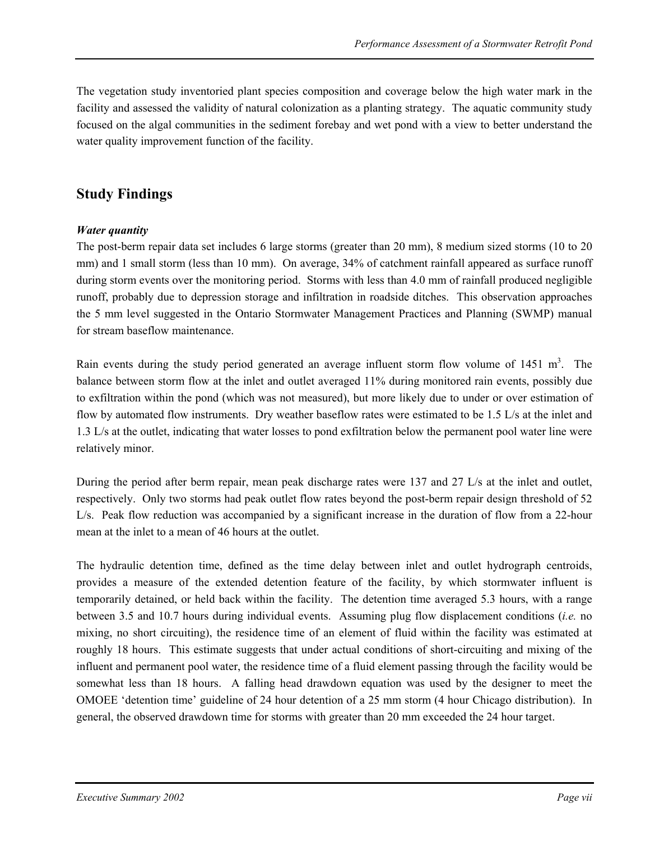The vegetation study inventoried plant species composition and coverage below the high water mark in the facility and assessed the validity of natural colonization as a planting strategy. The aquatic community study focused on the algal communities in the sediment forebay and wet pond with a view to better understand the water quality improvement function of the facility.

### **Study Findings**

#### *Water quantity*

The post-berm repair data set includes 6 large storms (greater than 20 mm), 8 medium sized storms (10 to 20 mm) and 1 small storm (less than 10 mm). On average, 34% of catchment rainfall appeared as surface runoff during storm events over the monitoring period. Storms with less than 4.0 mm of rainfall produced negligible runoff, probably due to depression storage and infiltration in roadside ditches. This observation approaches the 5 mm level suggested in the Ontario Stormwater Management Practices and Planning (SWMP) manual for stream baseflow maintenance.

Rain events during the study period generated an average influent storm flow volume of 1451 m<sup>3</sup>. The balance between storm flow at the inlet and outlet averaged 11% during monitored rain events, possibly due to exfiltration within the pond (which was not measured), but more likely due to under or over estimation of flow by automated flow instruments. Dry weather baseflow rates were estimated to be 1.5 L/s at the inlet and 1.3 L/s at the outlet, indicating that water losses to pond exfiltration below the permanent pool water line were relatively minor.

During the period after berm repair, mean peak discharge rates were 137 and 27 L/s at the inlet and outlet, respectively. Only two storms had peak outlet flow rates beyond the post-berm repair design threshold of 52 L/s. Peak flow reduction was accompanied by a significant increase in the duration of flow from a 22-hour mean at the inlet to a mean of 46 hours at the outlet.

The hydraulic detention time, defined as the time delay between inlet and outlet hydrograph centroids, provides a measure of the extended detention feature of the facility, by which stormwater influent is temporarily detained, or held back within the facility. The detention time averaged 5.3 hours, with a range between 3.5 and 10.7 hours during individual events. Assuming plug flow displacement conditions (*i.e.* no mixing, no short circuiting), the residence time of an element of fluid within the facility was estimated at roughly 18 hours. This estimate suggests that under actual conditions of short-circuiting and mixing of the influent and permanent pool water, the residence time of a fluid element passing through the facility would be somewhat less than 18 hours. A falling head drawdown equation was used by the designer to meet the OMOEE 'detention time' guideline of 24 hour detention of a 25 mm storm (4 hour Chicago distribution). In general, the observed drawdown time for storms with greater than 20 mm exceeded the 24 hour target.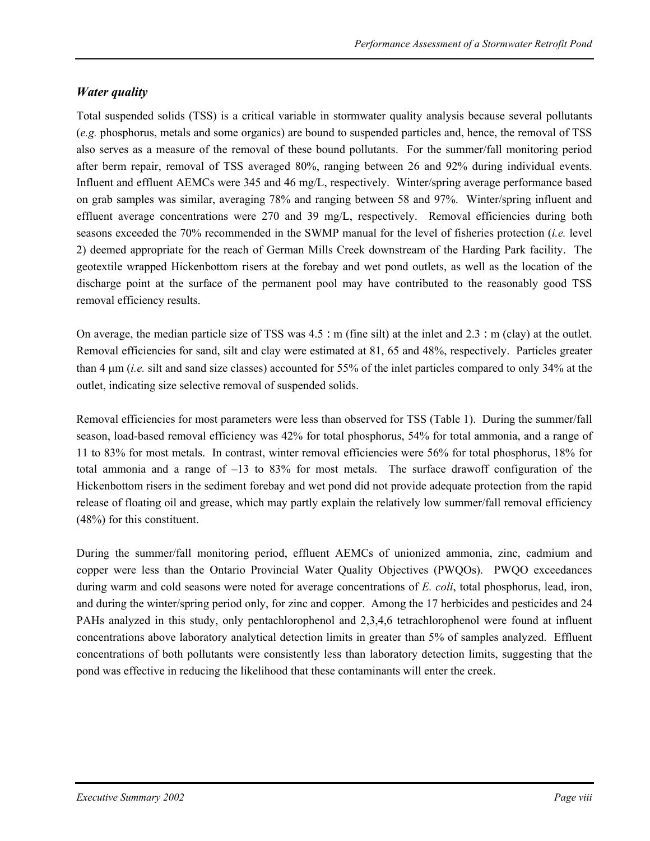### *Water quality*

Total suspended solids (TSS) is a critical variable in stormwater quality analysis because several pollutants (*e.g.* phosphorus, metals and some organics) are bound to suspended particles and, hence, the removal of TSS also serves as a measure of the removal of these bound pollutants. For the summer/fall monitoring period after berm repair, removal of TSS averaged 80%, ranging between 26 and 92% during individual events. Influent and effluent AEMCs were 345 and 46 mg/L, respectively. Winter/spring average performance based on grab samples was similar, averaging 78% and ranging between 58 and 97%. Winter/spring influent and effluent average concentrations were 270 and 39 mg/L, respectively. Removal efficiencies during both seasons exceeded the 70% recommended in the SWMP manual for the level of fisheries protection (*i.e.* level 2) deemed appropriate for the reach of German Mills Creek downstream of the Harding Park facility. The geotextile wrapped Hickenbottom risers at the forebay and wet pond outlets, as well as the location of the discharge point at the surface of the permanent pool may have contributed to the reasonably good TSS removal efficiency results.

On average, the median particle size of TSS was  $4.5$ : m (fine silt) at the inlet and  $2.3$ : m (clay) at the outlet. Removal efficiencies for sand, silt and clay were estimated at 81, 65 and 48%, respectively. Particles greater than 4 µm (*i.e.* silt and sand size classes) accounted for 55% of the inlet particles compared to only 34% at the outlet, indicating size selective removal of suspended solids.

Removal efficiencies for most parameters were less than observed for TSS (Table 1). During the summer/fall season, load-based removal efficiency was 42% for total phosphorus, 54% for total ammonia, and a range of 11 to 83% for most metals. In contrast, winter removal efficiencies were 56% for total phosphorus, 18% for total ammonia and a range of  $-13$  to 83% for most metals. The surface drawoff configuration of the Hickenbottom risers in the sediment forebay and wet pond did not provide adequate protection from the rapid release of floating oil and grease, which may partly explain the relatively low summer/fall removal efficiency (48%) for this constituent.

During the summer/fall monitoring period, effluent AEMCs of unionized ammonia, zinc, cadmium and copper were less than the Ontario Provincial Water Quality Objectives (PWQOs). PWQO exceedances during warm and cold seasons were noted for average concentrations of *E. coli*, total phosphorus, lead, iron, and during the winter/spring period only, for zinc and copper. Among the 17 herbicides and pesticides and 24 PAHs analyzed in this study, only pentachlorophenol and 2,3,4,6 tetrachlorophenol were found at influent concentrations above laboratory analytical detection limits in greater than 5% of samples analyzed. Effluent concentrations of both pollutants were consistently less than laboratory detection limits, suggesting that the pond was effective in reducing the likelihood that these contaminants will enter the creek.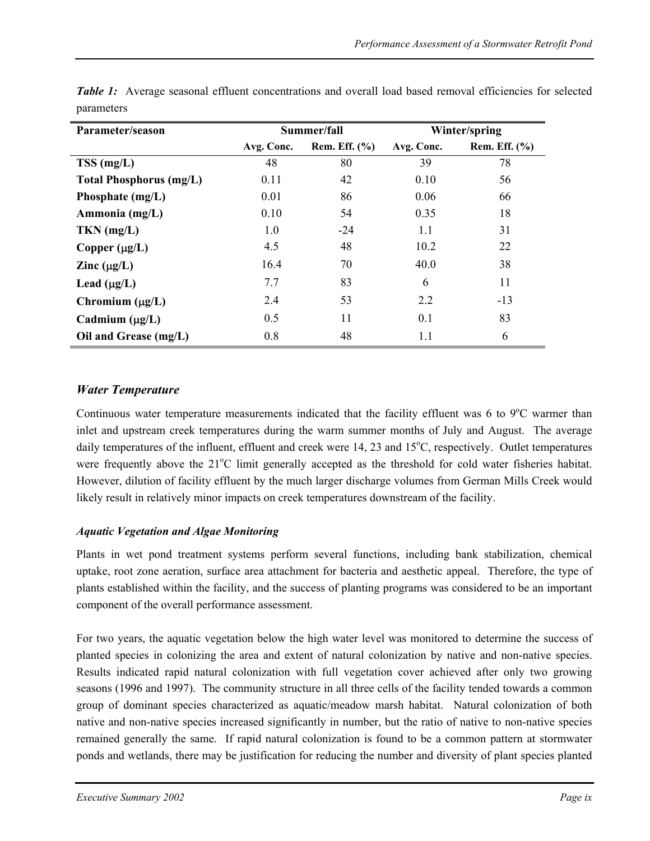| Parameter/season               | Summer/fall<br>Winter/spring |                 |            |                 |
|--------------------------------|------------------------------|-----------------|------------|-----------------|
|                                | Avg. Conc.                   | Rem. Eff. $(\%$ | Avg. Conc. | Rem. Eff. $(\%$ |
| $TSS$ (mg/L)                   | 48                           | 80              | 39         | 78              |
| <b>Total Phosphorus (mg/L)</b> | 0.11                         | 42              | 0.10       | 56              |
| Phosphate (mg/L)               | 0.01                         | 86              | 0.06       | 66              |
| Ammonia (mg/L)                 | 0.10                         | 54              | 0.35       | 18              |
| $TKN$ (mg/L)                   | 1.0                          | $-24$           | 1.1        | 31              |
| Copper $(\mu g/L)$             | 4.5                          | 48              | 10.2       | 22              |
| Zinc $(\mu g/L)$               | 16.4                         | 70              | 40.0       | 38              |
| Lead $(\mu g/L)$               | 7.7                          | 83              | 6          | 11              |
| Chromium $(\mu g/L)$           | 2.4                          | 53              | 2.2        | $-13$           |
| Cadmium $(\mu g/L)$            | 0.5                          | 11              | 0.1        | 83              |
| Oil and Grease (mg/L)          | 0.8                          | 48              | 1.1        | 6               |

*Table 1:* Average seasonal effluent concentrations and overall load based removal efficiencies for selected parameters

### *Water Temperature*

Continuous water temperature measurements indicated that the facility effluent was 6 to 9°C warmer than inlet and upstream creek temperatures during the warm summer months of July and August. The average daily temperatures of the influent, effluent and creek were 14, 23 and 15°C, respectively. Outlet temperatures were frequently above the 21°C limit generally accepted as the threshold for cold water fisheries habitat. However, dilution of facility effluent by the much larger discharge volumes from German Mills Creek would likely result in relatively minor impacts on creek temperatures downstream of the facility.

#### *Aquatic Vegetation and Algae Monitoring*

Plants in wet pond treatment systems perform several functions, including bank stabilization, chemical uptake, root zone aeration, surface area attachment for bacteria and aesthetic appeal. Therefore, the type of plants established within the facility, and the success of planting programs was considered to be an important component of the overall performance assessment.

For two years, the aquatic vegetation below the high water level was monitored to determine the success of planted species in colonizing the area and extent of natural colonization by native and non-native species. Results indicated rapid natural colonization with full vegetation cover achieved after only two growing seasons (1996 and 1997). The community structure in all three cells of the facility tended towards a common group of dominant species characterized as aquatic/meadow marsh habitat. Natural colonization of both native and non-native species increased significantly in number, but the ratio of native to non-native species remained generally the same. If rapid natural colonization is found to be a common pattern at stormwater ponds and wetlands, there may be justification for reducing the number and diversity of plant species planted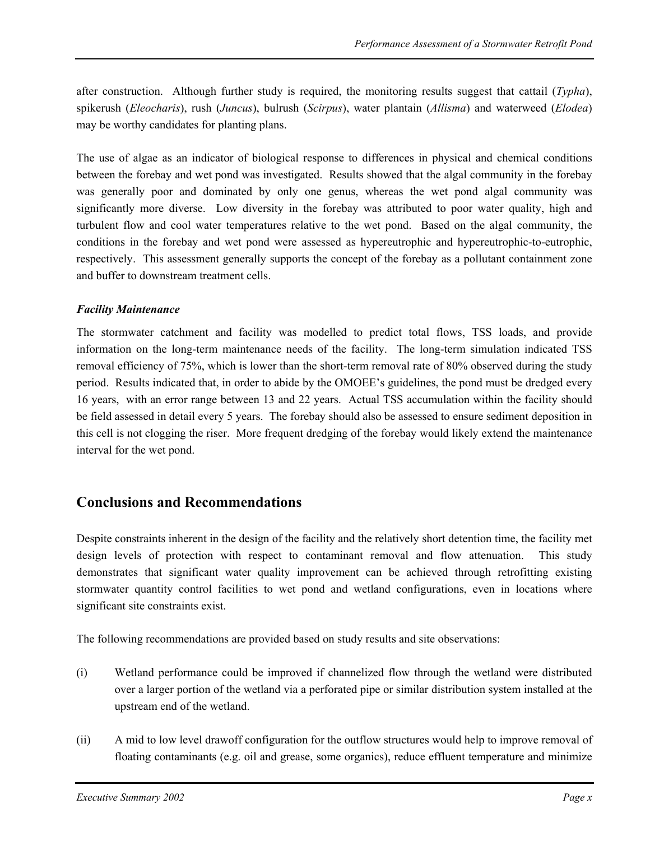after construction. Although further study is required, the monitoring results suggest that cattail (*Typha*), spikerush (*Eleocharis*), rush (*Juncus*), bulrush (*Scirpus*), water plantain (*Allisma*) and waterweed (*Elodea*) may be worthy candidates for planting plans.

The use of algae as an indicator of biological response to differences in physical and chemical conditions between the forebay and wet pond was investigated. Results showed that the algal community in the forebay was generally poor and dominated by only one genus, whereas the wet pond algal community was significantly more diverse. Low diversity in the forebay was attributed to poor water quality, high and turbulent flow and cool water temperatures relative to the wet pond. Based on the algal community, the conditions in the forebay and wet pond were assessed as hypereutrophic and hypereutrophic-to-eutrophic, respectively. This assessment generally supports the concept of the forebay as a pollutant containment zone and buffer to downstream treatment cells.

#### *Facility Maintenance*

The stormwater catchment and facility was modelled to predict total flows, TSS loads, and provide information on the long-term maintenance needs of the facility. The long-term simulation indicated TSS removal efficiency of 75%, which is lower than the short-term removal rate of 80% observed during the study period. Results indicated that, in order to abide by the OMOEE's guidelines, the pond must be dredged every 16 years, with an error range between 13 and 22 years. Actual TSS accumulation within the facility should be field assessed in detail every 5 years. The forebay should also be assessed to ensure sediment deposition in this cell is not clogging the riser. More frequent dredging of the forebay would likely extend the maintenance interval for the wet pond.

### **Conclusions and Recommendations**

Despite constraints inherent in the design of the facility and the relatively short detention time, the facility met design levels of protection with respect to contaminant removal and flow attenuation. This study demonstrates that significant water quality improvement can be achieved through retrofitting existing stormwater quantity control facilities to wet pond and wetland configurations, even in locations where significant site constraints exist.

The following recommendations are provided based on study results and site observations:

- (i) Wetland performance could be improved if channelized flow through the wetland were distributed over a larger portion of the wetland via a perforated pipe or similar distribution system installed at the upstream end of the wetland.
- (ii) A mid to low level drawoff configuration for the outflow structures would help to improve removal of floating contaminants (e.g. oil and grease, some organics), reduce effluent temperature and minimize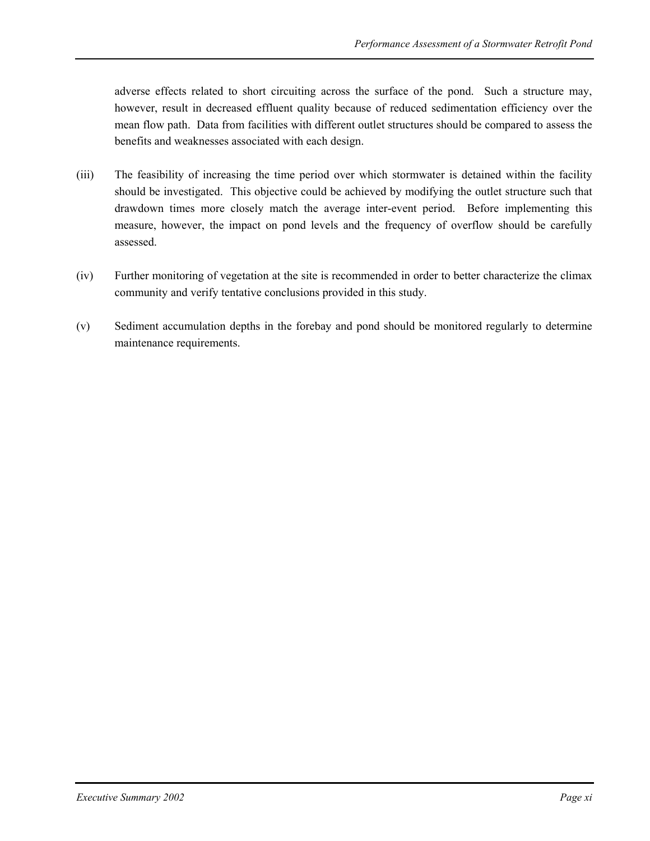adverse effects related to short circuiting across the surface of the pond. Such a structure may, however, result in decreased effluent quality because of reduced sedimentation efficiency over the mean flow path. Data from facilities with different outlet structures should be compared to assess the benefits and weaknesses associated with each design.

- (iii) The feasibility of increasing the time period over which stormwater is detained within the facility should be investigated. This objective could be achieved by modifying the outlet structure such that drawdown times more closely match the average inter-event period. Before implementing this measure, however, the impact on pond levels and the frequency of overflow should be carefully assessed.
- (iv) Further monitoring of vegetation at the site is recommended in order to better characterize the climax community and verify tentative conclusions provided in this study.
- (v) Sediment accumulation depths in the forebay and pond should be monitored regularly to determine maintenance requirements.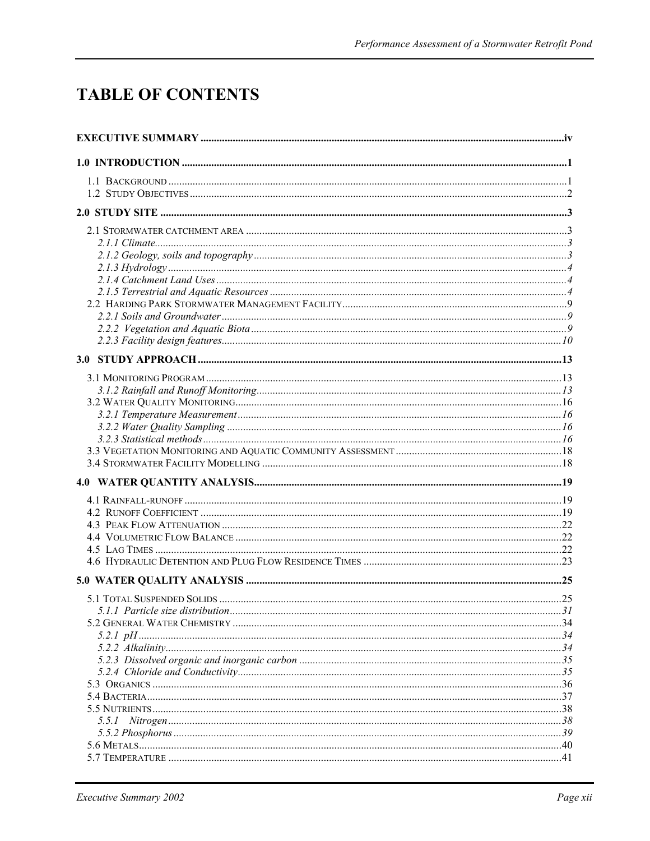## **TABLE OF CONTENTS**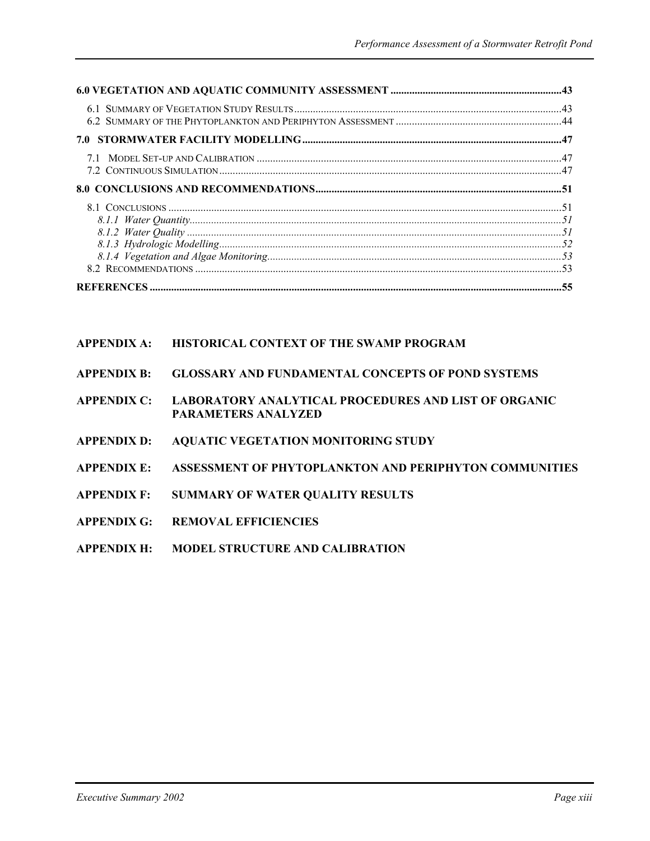| 7.0 |  |
|-----|--|
|     |  |
|     |  |
|     |  |
|     |  |

| <b>APPENDIX A:</b> | <b>HISTORICAL CONTEXT OF THE SWAMP PROGRAM</b>                                            |
|--------------------|-------------------------------------------------------------------------------------------|
| <b>APPENDIX B:</b> | <b>GLOSSARY AND FUNDAMENTAL CONCEPTS OF POND SYSTEMS</b>                                  |
| <b>APPENDIX C:</b> | <b>LABORATORY ANALYTICAL PROCEDURES AND LIST OF ORGANIC</b><br><b>PARAMETERS ANALYZED</b> |
| <b>APPENDIX D:</b> | <b>AQUATIC VEGETATION MONITORING STUDY</b>                                                |
| <b>APPENDIX E:</b> | ASSESSMENT OF PHYTOPLANKTON AND PERIPHYTON COMMUNITIES                                    |
| <b>APPENDIX F:</b> | <b>SUMMARY OF WATER OUALITY RESULTS</b>                                                   |
| <b>APPENDIX G:</b> | <b>REMOVAL EFFICIENCIES</b>                                                               |
| <b>APPENDIX H:</b> | <b>MODEL STRUCTURE AND CALIBRATION</b>                                                    |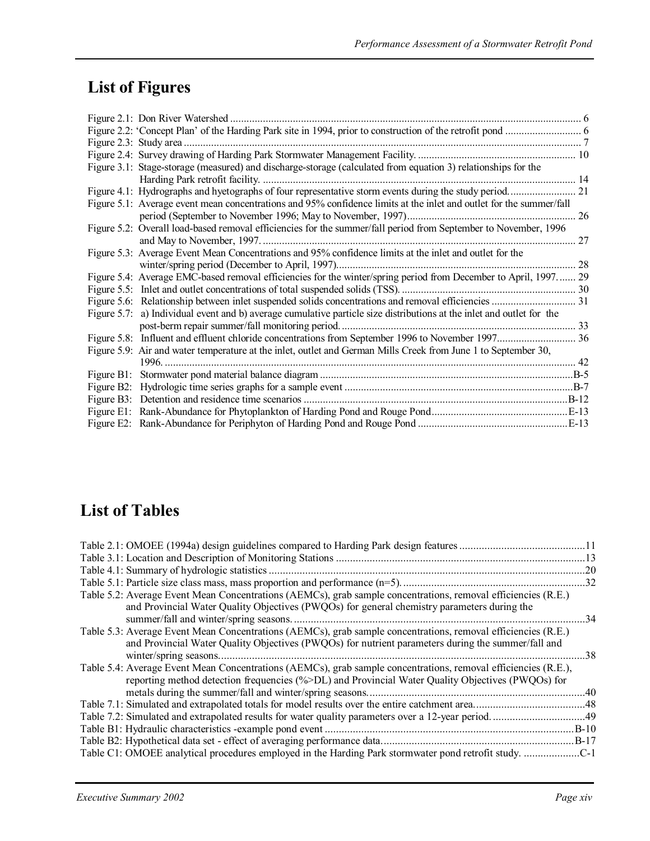## **List of Figures**

| Figure 2.1: Don River Watershed                                                                                       |        |
|-----------------------------------------------------------------------------------------------------------------------|--------|
|                                                                                                                       |        |
|                                                                                                                       |        |
|                                                                                                                       |        |
| Figure 3.1: Stage-storage (measured) and discharge-storage (calculated from equation 3) relationships for the         |        |
|                                                                                                                       |        |
|                                                                                                                       |        |
| Figure 5.1: Average event mean concentrations and 95% confidence limits at the inlet and outlet for the summer/fall   | 26     |
| Figure 5.2: Overall load-based removal efficiencies for the summer/fall period from September to November, 1996       |        |
|                                                                                                                       | 27     |
| Figure 5.3: Average Event Mean Concentrations and 95% confidence limits at the inlet and outlet for the               |        |
|                                                                                                                       | 28     |
| Figure 5.4: Average EMC-based removal efficiencies for the winter/spring period from December to April, 1997 29       |        |
|                                                                                                                       | . 30   |
|                                                                                                                       | . 31   |
| Figure 5.7: a) Individual event and b) average cumulative particle size distributions at the inlet and outlet for the |        |
| post-berm repair summer/fall monitoring period                                                                        | 33     |
|                                                                                                                       |        |
| Figure 5.9: Air and water temperature at the inlet, outlet and German Mills Creek from June 1 to September 30,        |        |
|                                                                                                                       | 42     |
|                                                                                                                       | $.B-5$ |
|                                                                                                                       |        |
|                                                                                                                       | $B-12$ |
|                                                                                                                       |        |
|                                                                                                                       | .E-13  |

## **List of Tables**

|                                                                                                                                                                                                                     | 20 |
|---------------------------------------------------------------------------------------------------------------------------------------------------------------------------------------------------------------------|----|
|                                                                                                                                                                                                                     |    |
| Table 5.2: Average Event Mean Concentrations (AEMCs), grab sample concentrations, removal efficiencies (R.E.)<br>and Provincial Water Quality Objectives (PWQOs) for general chemistry parameters during the        | 34 |
| Table 5.3: Average Event Mean Concentrations (AEMCs), grab sample concentrations, removal efficiencies (R.E.)<br>and Provincial Water Quality Objectives (PWQOs) for nutrient parameters during the summer/fall and | 38 |
| Table 5.4: Average Event Mean Concentrations (AEMCs), grab sample concentrations, removal efficiencies (R.E.),<br>reporting method detection frequencies (%>DL) and Provincial Water Quality Objectives (PWQOs) for |    |
|                                                                                                                                                                                                                     |    |
|                                                                                                                                                                                                                     |    |
|                                                                                                                                                                                                                     |    |
|                                                                                                                                                                                                                     |    |
|                                                                                                                                                                                                                     |    |